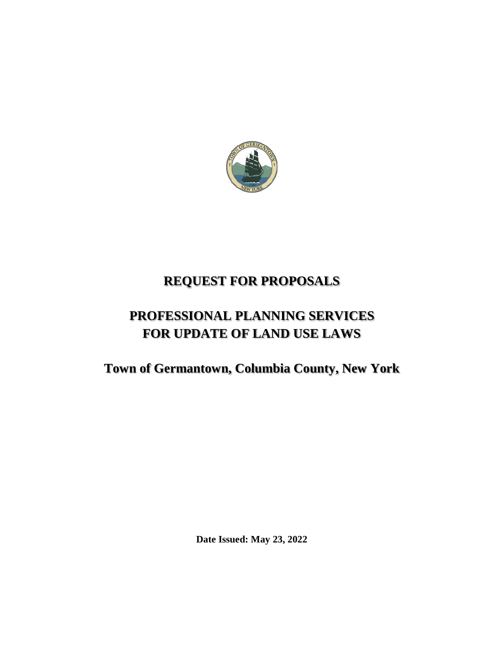

# **REQUEST FOR PROPOSALS**

# **PROFESSIONAL PLANNING SERVICES FOR UPDATE OF LAND USE LAWS**

**Town of Germantown, Columbia County, New York** 

**Date Issued: May 23, 2022**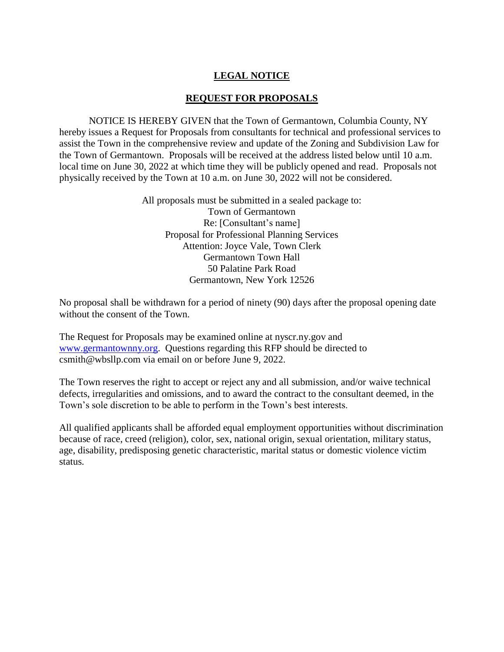## **LEGAL NOTICE**

### **REQUEST FOR PROPOSALS**

NOTICE IS HEREBY GIVEN that the Town of Germantown, Columbia County, NY hereby issues a Request for Proposals from consultants for technical and professional services to assist the Town in the comprehensive review and update of the Zoning and Subdivision Law for the Town of Germantown. Proposals will be received at the address listed below until 10 a.m. local time on June 30, 2022 at which time they will be publicly opened and read. Proposals not physically received by the Town at 10 a.m. on June 30, 2022 will not be considered.

> All proposals must be submitted in a sealed package to: Town of Germantown Re: [Consultant's name] Proposal for Professional Planning Services Attention: Joyce Vale, Town Clerk Germantown Town Hall 50 Palatine Park Road Germantown, New York 12526

No proposal shall be withdrawn for a period of ninety (90) days after the proposal opening date without the consent of the Town.

The Request for Proposals may be examined online at nyscr.ny.gov and [www.germantownny.org.](http://www.germantownny.org/) Questions regarding this RFP should be directed to csmith@wbsllp.com via email on or before June 9, 2022.

The Town reserves the right to accept or reject any and all submission, and/or waive technical defects, irregularities and omissions, and to award the contract to the consultant deemed, in the Town's sole discretion to be able to perform in the Town's best interests.

All qualified applicants shall be afforded equal employment opportunities without discrimination because of race, creed (religion), color, sex, national origin, sexual orientation, military status, age, disability, predisposing genetic characteristic, marital status or domestic violence victim status.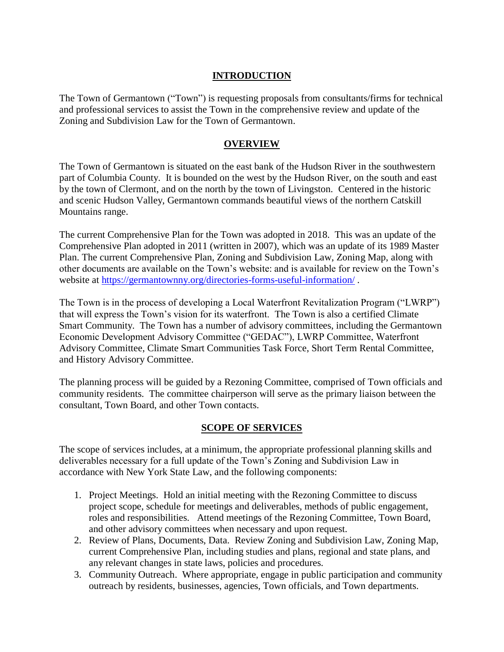### **INTRODUCTION**

The Town of Germantown ("Town") is requesting proposals from consultants/firms for technical and professional services to assist the Town in the comprehensive review and update of the Zoning and Subdivision Law for the Town of Germantown.

### **OVERVIEW**

The Town of Germantown is situated on the east bank of the Hudson River in the southwestern part of Columbia County. It is bounded on the west by the Hudson River, on the south and east by the town of Clermont, and on the north by the town of Livingston. Centered in the historic and scenic Hudson Valley, Germantown commands beautiful views of the northern Catskill Mountains range.

The current Comprehensive Plan for the Town was adopted in 2018. This was an update of the Comprehensive Plan adopted in 2011 (written in 2007), which was an update of its 1989 Master Plan. The current Comprehensive Plan, Zoning and Subdivision Law, Zoning Map, along with other documents are available on the Town's website: and is available for review on the Town's website at<https://germantownny.org/directories-forms-useful-information/> .

The Town is in the process of developing a Local Waterfront Revitalization Program ("LWRP") that will express the Town's vision for its waterfront. The Town is also a certified Climate Smart Community. The Town has a number of advisory committees, including the Germantown Economic Development Advisory Committee ("GEDAC"), LWRP Committee, Waterfront Advisory Committee, Climate Smart Communities Task Force, Short Term Rental Committee, and History Advisory Committee.

The planning process will be guided by a Rezoning Committee, comprised of Town officials and community residents. The committee chairperson will serve as the primary liaison between the consultant, Town Board, and other Town contacts.

### **SCOPE OF SERVICES**

The scope of services includes, at a minimum, the appropriate professional planning skills and deliverables necessary for a full update of the Town's Zoning and Subdivision Law in accordance with New York State Law, and the following components:

- 1. Project Meetings. Hold an initial meeting with the Rezoning Committee to discuss project scope, schedule for meetings and deliverables, methods of public engagement, roles and responsibilities. Attend meetings of the Rezoning Committee, Town Board, and other advisory committees when necessary and upon request.
- 2. Review of Plans, Documents, Data. Review Zoning and Subdivision Law, Zoning Map, current Comprehensive Plan, including studies and plans, regional and state plans, and any relevant changes in state laws, policies and procedures.
- 3. Community Outreach. Where appropriate, engage in public participation and community outreach by residents, businesses, agencies, Town officials, and Town departments.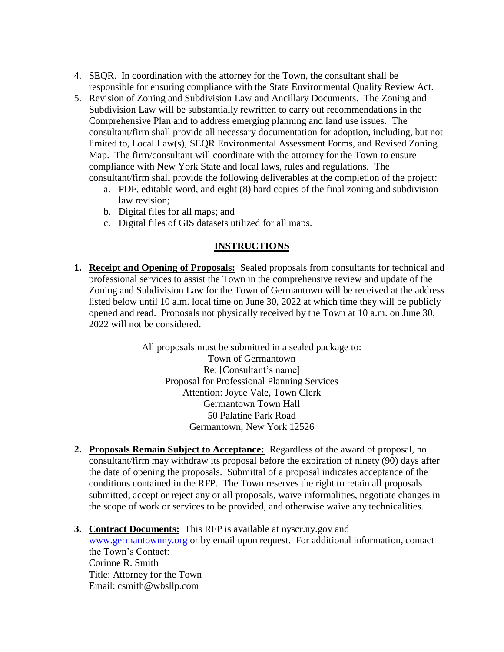- 4. SEQR. In coordination with the attorney for the Town, the consultant shall be responsible for ensuring compliance with the State Environmental Quality Review Act.
- 5. Revision of Zoning and Subdivision Law and Ancillary Documents. The Zoning and Subdivision Law will be substantially rewritten to carry out recommendations in the Comprehensive Plan and to address emerging planning and land use issues. The consultant/firm shall provide all necessary documentation for adoption, including, but not limited to, Local Law(s), SEQR Environmental Assessment Forms, and Revised Zoning Map. The firm/consultant will coordinate with the attorney for the Town to ensure compliance with New York State and local laws, rules and regulations. The consultant/firm shall provide the following deliverables at the completion of the project:
	- a. PDF, editable word, and eight (8) hard copies of the final zoning and subdivision law revision;
	- b. Digital files for all maps; and
	- c. Digital files of GIS datasets utilized for all maps.

### **INSTRUCTIONS**

**1. Receipt and Opening of Proposals:** Sealed proposals from consultants for technical and professional services to assist the Town in the comprehensive review and update of the Zoning and Subdivision Law for the Town of Germantown will be received at the address listed below until 10 a.m. local time on June 30, 2022 at which time they will be publicly opened and read. Proposals not physically received by the Town at 10 a.m. on June 30, 2022 will not be considered.

> All proposals must be submitted in a sealed package to: Town of Germantown Re: [Consultant's name] Proposal for Professional Planning Services Attention: Joyce Vale, Town Clerk Germantown Town Hall 50 Palatine Park Road Germantown, New York 12526

- **2. Proposals Remain Subject to Acceptance:** Regardless of the award of proposal, no consultant/firm may withdraw its proposal before the expiration of ninety (90) days after the date of opening the proposals. Submittal of a proposal indicates acceptance of the conditions contained in the RFP. The Town reserves the right to retain all proposals submitted, accept or reject any or all proposals, waive informalities, negotiate changes in the scope of work or services to be provided, and otherwise waive any technicalities.
- **3. Contract Documents:** This RFP is available at nyscr.ny.gov and [www.germantownny.org](http://www.germantownny.org/) or by email upon request. For additional information, contact the Town's Contact: Corinne R. Smith Title: Attorney for the Town Email: csmith@wbsllp.com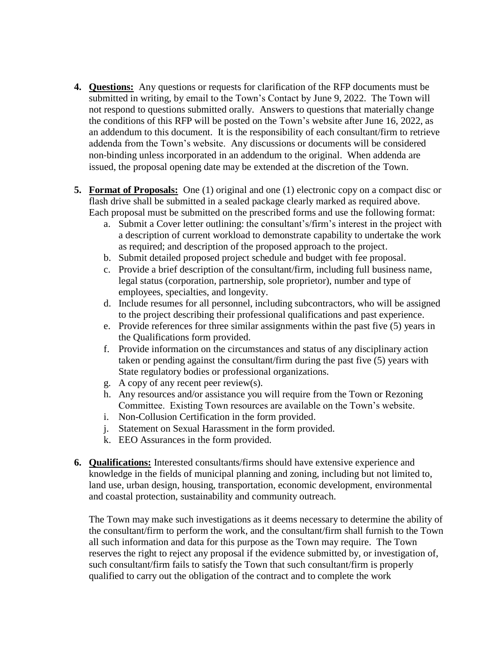- **4. Questions:** Any questions or requests for clarification of the RFP documents must be submitted in writing, by email to the Town's Contact by June 9, 2022. The Town will not respond to questions submitted orally. Answers to questions that materially change the conditions of this RFP will be posted on the Town's website after June 16, 2022, as an addendum to this document. It is the responsibility of each consultant/firm to retrieve addenda from the Town's website. Any discussions or documents will be considered non-binding unless incorporated in an addendum to the original. When addenda are issued, the proposal opening date may be extended at the discretion of the Town.
- **5. Format of Proposals:** One (1) original and one (1) electronic copy on a compact disc or flash drive shall be submitted in a sealed package clearly marked as required above. Each proposal must be submitted on the prescribed forms and use the following format:
	- a. Submit a Cover letter outlining: the consultant's/firm's interest in the project with a description of current workload to demonstrate capability to undertake the work as required; and description of the proposed approach to the project.
	- b. Submit detailed proposed project schedule and budget with fee proposal.
	- c. Provide a brief description of the consultant/firm, including full business name, legal status (corporation, partnership, sole proprietor), number and type of employees, specialties, and longevity.
	- d. Include resumes for all personnel, including subcontractors, who will be assigned to the project describing their professional qualifications and past experience.
	- e. Provide references for three similar assignments within the past five (5) years in the Qualifications form provided.
	- f. Provide information on the circumstances and status of any disciplinary action taken or pending against the consultant/firm during the past five (5) years with State regulatory bodies or professional organizations.
	- g. A copy of any recent peer review(s).
	- h. Any resources and/or assistance you will require from the Town or Rezoning Committee. Existing Town resources are available on the Town's website.
	- i. Non-Collusion Certification in the form provided.
	- j. Statement on Sexual Harassment in the form provided.
	- k. EEO Assurances in the form provided.
- **6. Qualifications:** Interested consultants/firms should have extensive experience and knowledge in the fields of municipal planning and zoning, including but not limited to, land use, urban design, housing, transportation, economic development, environmental and coastal protection, sustainability and community outreach.

The Town may make such investigations as it deems necessary to determine the ability of the consultant/firm to perform the work, and the consultant/firm shall furnish to the Town all such information and data for this purpose as the Town may require. The Town reserves the right to reject any proposal if the evidence submitted by, or investigation of, such consultant/firm fails to satisfy the Town that such consultant/firm is properly qualified to carry out the obligation of the contract and to complete the work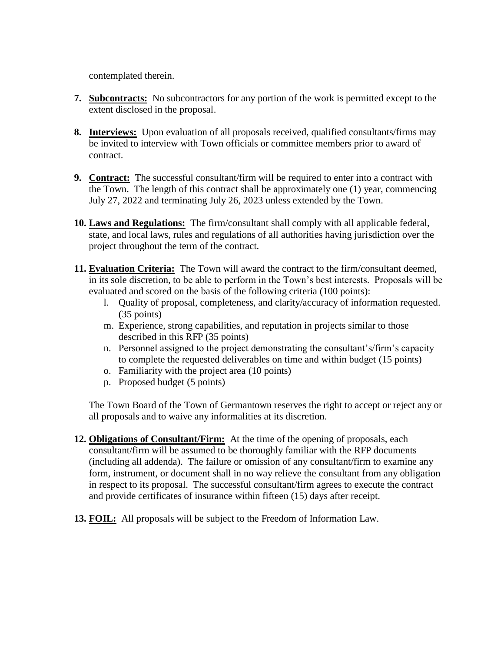contemplated therein.

- **7. Subcontracts:** No subcontractors for any portion of the work is permitted except to the extent disclosed in the proposal.
- **8. Interviews:** Upon evaluation of all proposals received, qualified consultants/firms may be invited to interview with Town officials or committee members prior to award of contract.
- **9. Contract:** The successful consultant/firm will be required to enter into a contract with the Town. The length of this contract shall be approximately one (1) year, commencing July 27, 2022 and terminating July 26, 2023 unless extended by the Town.
- **10. Laws and Regulations:** The firm/consultant shall comply with all applicable federal, state, and local laws, rules and regulations of all authorities having jurisdiction over the project throughout the term of the contract.
- **11. Evaluation Criteria:** The Town will award the contract to the firm/consultant deemed, in its sole discretion, to be able to perform in the Town's best interests. Proposals will be evaluated and scored on the basis of the following criteria (100 points):
	- l. Quality of proposal, completeness, and clarity/accuracy of information requested. (35 points)
	- m. Experience, strong capabilities, and reputation in projects similar to those described in this RFP (35 points)
	- n. Personnel assigned to the project demonstrating the consultant's/firm's capacity to complete the requested deliverables on time and within budget (15 points)
	- o. Familiarity with the project area (10 points)
	- p. Proposed budget (5 points)

The Town Board of the Town of Germantown reserves the right to accept or reject any or all proposals and to waive any informalities at its discretion.

- **12. Obligations of Consultant/Firm:** At the time of the opening of proposals, each consultant/firm will be assumed to be thoroughly familiar with the RFP documents (including all addenda). The failure or omission of any consultant/firm to examine any form, instrument, or document shall in no way relieve the consultant from any obligation in respect to its proposal. The successful consultant/firm agrees to execute the contract and provide certificates of insurance within fifteen (15) days after receipt.
- **13. FOIL:** All proposals will be subject to the Freedom of Information Law.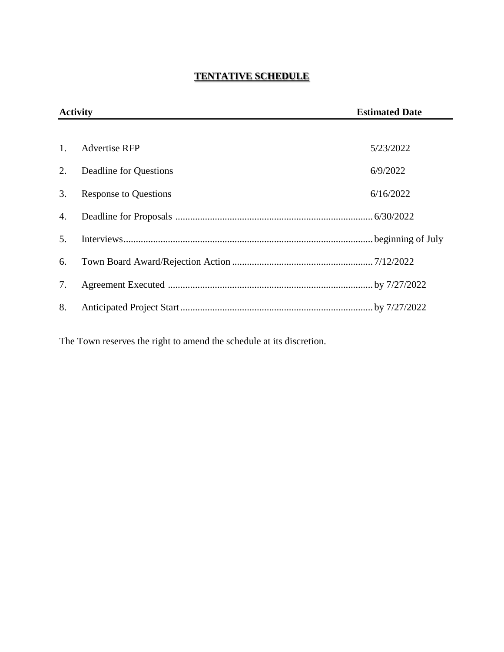## **TENTATIVE SCHEDULE**

| <b>Activity</b> |                              | <b>Estimated Date</b> |
|-----------------|------------------------------|-----------------------|
|                 |                              |                       |
| $\mathbf{1}$ .  | <b>Advertise RFP</b>         | 5/23/2022             |
| 2.              | Deadline for Questions       | 6/9/2022              |
| 3.              | <b>Response to Questions</b> | 6/16/2022             |
| 4.              |                              |                       |
| 5.              |                              |                       |
| 6.              |                              |                       |
| 7.              |                              |                       |
| 8.              |                              |                       |

The Town reserves the right to amend the schedule at its discretion.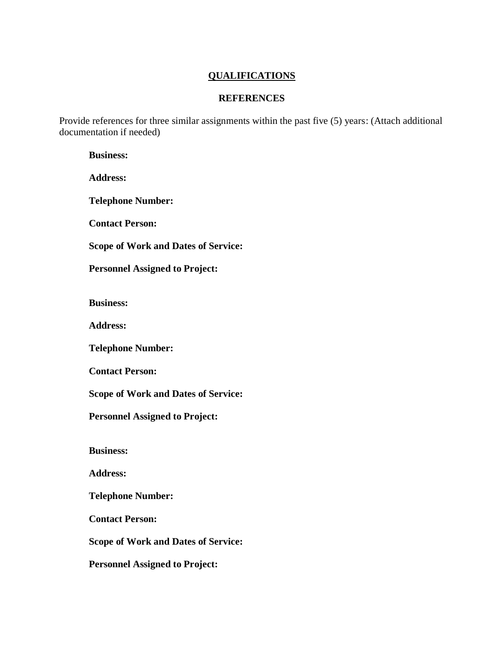### **QUALIFICATIONS**

### **REFERENCES**

Provide references for three similar assignments within the past five (5) years: (Attach additional documentation if needed)

**Business:**

**Address:**

**Telephone Number:**

**Contact Person:**

**Scope of Work and Dates of Service:**

**Personnel Assigned to Project:**

**Business:**

**Address:**

**Telephone Number:**

**Contact Person:**

**Scope of Work and Dates of Service:**

**Personnel Assigned to Project:**

**Business:**

**Address:**

**Telephone Number:**

**Contact Person:**

**Scope of Work and Dates of Service:**

**Personnel Assigned to Project:**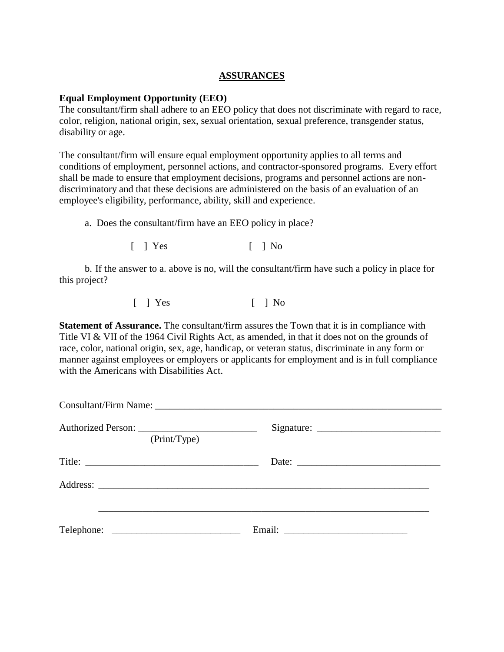### **ASSURANCES**

### **Equal Employment Opportunity (EEO)**

The consultant/firm shall adhere to an EEO policy that does not discriminate with regard to race, color, religion, national origin, sex, sexual orientation, sexual preference, transgender status, disability or age.

The consultant/firm will ensure equal employment opportunity applies to all terms and conditions of employment, personnel actions, and contractor-sponsored programs. Every effort shall be made to ensure that employment decisions, programs and personnel actions are nondiscriminatory and that these decisions are administered on the basis of an evaluation of an employee's eligibility, performance, ability, skill and experience.

a. Does the consultant/firm have an EEO policy in place?

 $\lceil$  | Yes  $\lceil$  | No

b. If the answer to a. above is no, will the consultant/firm have such a policy in place for this project?

[ ] Yes [ ] No

**Statement of Assurance.** The consultant/firm assures the Town that it is in compliance with Title VI & VII of the 1964 Civil Rights Act, as amended, in that it does not on the grounds of race, color, national origin, sex, age, handicap, or veteran status, discriminate in any form or manner against employees or employers or applicants for employment and is in full compliance with the Americans with Disabilities Act.

|              |  | Consultant/Firm Name: 1997 Manner Strategy and The Consultant Avenue and The Consultant Avenue and The Consultant Avenue and The Consultant Avenue and The Consultant Avenue and The Consultant Avenue and The Consultant Aven |  |
|--------------|--|--------------------------------------------------------------------------------------------------------------------------------------------------------------------------------------------------------------------------------|--|
| (Print/Type) |  |                                                                                                                                                                                                                                |  |
|              |  | Date:                                                                                                                                                                                                                          |  |
|              |  |                                                                                                                                                                                                                                |  |
|              |  |                                                                                                                                                                                                                                |  |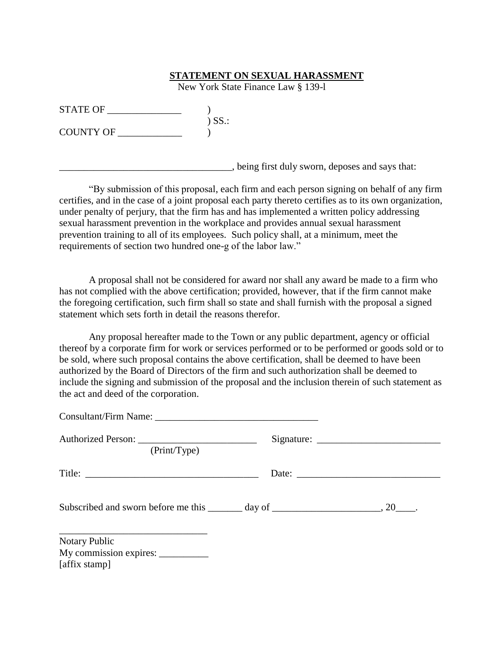#### **STATEMENT ON SEXUAL HARASSMENT**

New York State Finance Law § 139-l

| <b>STATE OF</b>  |                     |
|------------------|---------------------|
|                  | $)$ SS $\therefore$ |
| <b>COUNTY OF</b> |                     |

\_\_\_\_\_\_\_\_\_\_\_\_\_\_\_\_\_\_\_\_\_\_\_\_\_\_\_\_\_\_\_\_\_\_\_, being first duly sworn, deposes and says that:

"By submission of this proposal, each firm and each person signing on behalf of any firm certifies, and in the case of a joint proposal each party thereto certifies as to its own organization, under penalty of perjury, that the firm has and has implemented a written policy addressing sexual harassment prevention in the workplace and provides annual sexual harassment prevention training to all of its employees. Such policy shall, at a minimum, meet the requirements of section two hundred one-g of the labor law."

A proposal shall not be considered for award nor shall any award be made to a firm who has not complied with the above certification; provided, however, that if the firm cannot make the foregoing certification, such firm shall so state and shall furnish with the proposal a signed statement which sets forth in detail the reasons therefor.

Any proposal hereafter made to the Town or any public department, agency or official thereof by a corporate firm for work or services performed or to be performed or goods sold or to be sold, where such proposal contains the above certification, shall be deemed to have been authorized by the Board of Directors of the firm and such authorization shall be deemed to include the signing and submission of the proposal and the inclusion therein of such statement as the act and deed of the corporation.

| Consultant/Firm Name: 2008. [2010] Mannese Mannesota Mannesota Mannesota Mannesota Mannesota Mannesota Mannesota Mannesota Mannesota Mannesota Mannesota Mannesota Mannesota Mannesota Mannesota Mannesota Mannesota Mannesota |  |
|--------------------------------------------------------------------------------------------------------------------------------------------------------------------------------------------------------------------------------|--|
| (Print/Type)                                                                                                                                                                                                                   |  |
|                                                                                                                                                                                                                                |  |
| Subscribed and sworn before me this _______ day of ______________________________, 20______.                                                                                                                                   |  |
| <b>Notary Public</b><br>My commission expires: ___________                                                                                                                                                                     |  |

[affix stamp]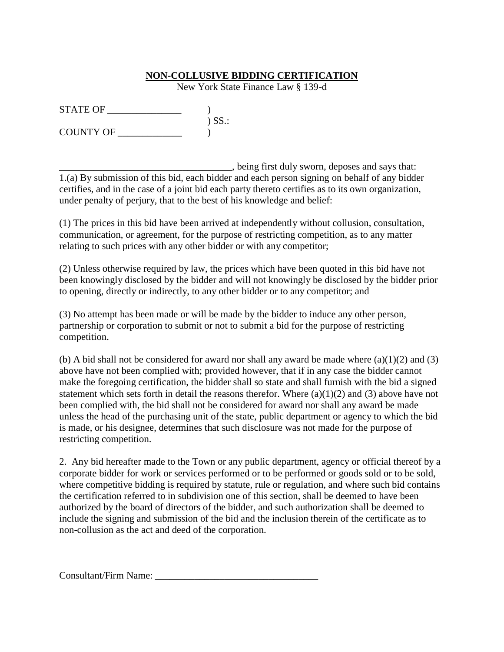### **NON-COLLUSIVE BIDDING CERTIFICATION**

New York State Finance Law § 139-d

 $STATE OF$   $)$ ) SS.: COUNTY OF \_\_\_\_\_\_\_\_\_\_\_\_\_ )

\_\_\_\_\_\_\_\_\_\_\_\_\_\_\_\_\_\_\_\_\_\_\_\_\_\_\_\_\_\_\_\_\_\_\_, being first duly sworn, deposes and says that: 1.(a) By submission of this bid, each bidder and each person signing on behalf of any bidder certifies, and in the case of a joint bid each party thereto certifies as to its own organization, under penalty of perjury, that to the best of his knowledge and belief:

(1) The prices in this bid have been arrived at independently without collusion, consultation, communication, or agreement, for the purpose of restricting competition, as to any matter relating to such prices with any other bidder or with any competitor;

(2) Unless otherwise required by law, the prices which have been quoted in this bid have not been knowingly disclosed by the bidder and will not knowingly be disclosed by the bidder prior to opening, directly or indirectly, to any other bidder or to any competitor; and

(3) No attempt has been made or will be made by the bidder to induce any other person, partnership or corporation to submit or not to submit a bid for the purpose of restricting competition.

(b) A bid shall not be considered for award nor shall any award be made where  $(a)(1)(2)$  and  $(3)$ above have not been complied with; provided however, that if in any case the bidder cannot make the foregoing certification, the bidder shall so state and shall furnish with the bid a signed statement which sets forth in detail the reasons therefor. Where  $(a)(1)(2)$  and  $(3)$  above have not been complied with, the bid shall not be considered for award nor shall any award be made unless the head of the purchasing unit of the state, public department or agency to which the bid is made, or his designee, determines that such disclosure was not made for the purpose of restricting competition.

2. Any bid hereafter made to the Town or any public department, agency or official thereof by a corporate bidder for work or services performed or to be performed or goods sold or to be sold, where competitive bidding is required by statute, rule or regulation, and where such bid contains the certification referred to in subdivision one of this section, shall be deemed to have been authorized by the board of directors of the bidder, and such authorization shall be deemed to include the signing and submission of the bid and the inclusion therein of the certificate as to non-collusion as the act and deed of the corporation.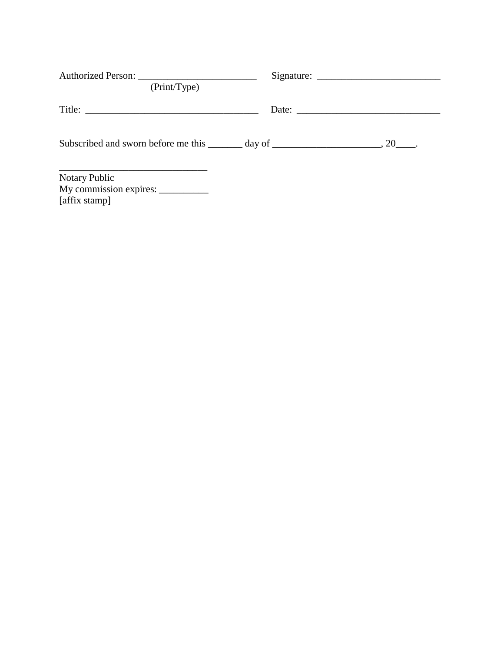| (Print/Type)                                                                                 |  |                                                          |
|----------------------------------------------------------------------------------------------|--|----------------------------------------------------------|
|                                                                                              |  | Date: $\frac{1}{\sqrt{1-\frac{1}{2}} \cdot \frac{1}{2}}$ |
| Subscribed and sworn before me this _______ day of ______________________________, 20______. |  |                                                          |
| Notary Public                                                                                |  |                                                          |

[affix stamp]